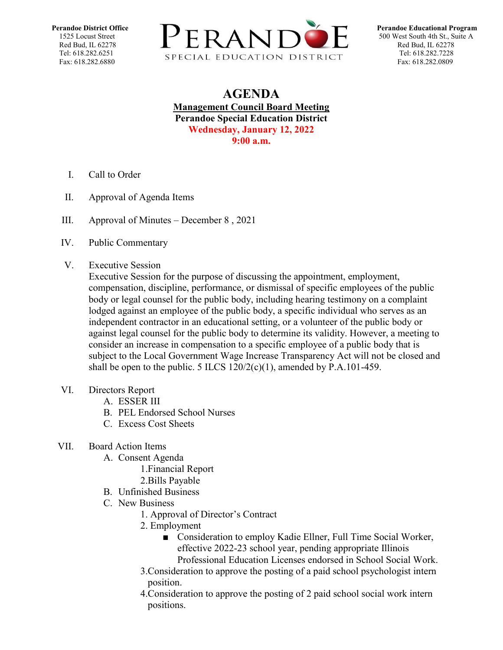

## **AGENDA Management Council Board Meeting Perandoe Special Education District Wednesday, January 12, 2022 9:00 a.m.**

- I. Call to Order
- II. Approval of Agenda Items
- III. [Approval of Minutes](https://docs.google.com/document/d/1iB4NmCCPt0aNejd1yZ7AE0XIxN_L3Cws/edit?usp=sharing&ouid=109781567068093532073&rtpof=true&sd=true)  December 8 , 2021
- IV. Public Commentary
- V. Executive Session

Executive Session for the purpose of discussing the appointment, employment, compensation, discipline, performance, or dismissal of specific employees of the public body or legal counsel for the public body, including hearing testimony on a complaint lodged against an employee of the public body, a specific individual who serves as an independent contractor in an educational setting, or a volunteer of the public body or against legal counsel for the public body to determine its validity. However, a meeting to consider an increase in compensation to a specific employee of a public body that is subject to the Local Government Wage Increase Transparency Act will not be closed and shall be open to the public. 5 ILCS  $120/2(c)(1)$ , amended by P.A.101-459.

- VI. Directors Report
	- A. ESSER III
	- B. PEL Endorsed School Nurses
	- C. Excess Cost Sheets

## VII. Board Action Items

- A. Consent Agenda
	- 1.Financial Report
	- 2.Bills Payable
- B. Unfinished Business
- C. New Business
	- 1. Approval of Director's Contract
	- 2. Employment
		- Consideration to employ Kadie Ellner, Full Time Social Worker, effective 2022-23 school year, pending appropriate Illinois Professional Education Licenses endorsed in School Social Work.
	- 3.Consideration to approve the posting of a paid school psychologist intern position.
	- 4.Consideration to approve the posting of 2 paid school social work intern positions.